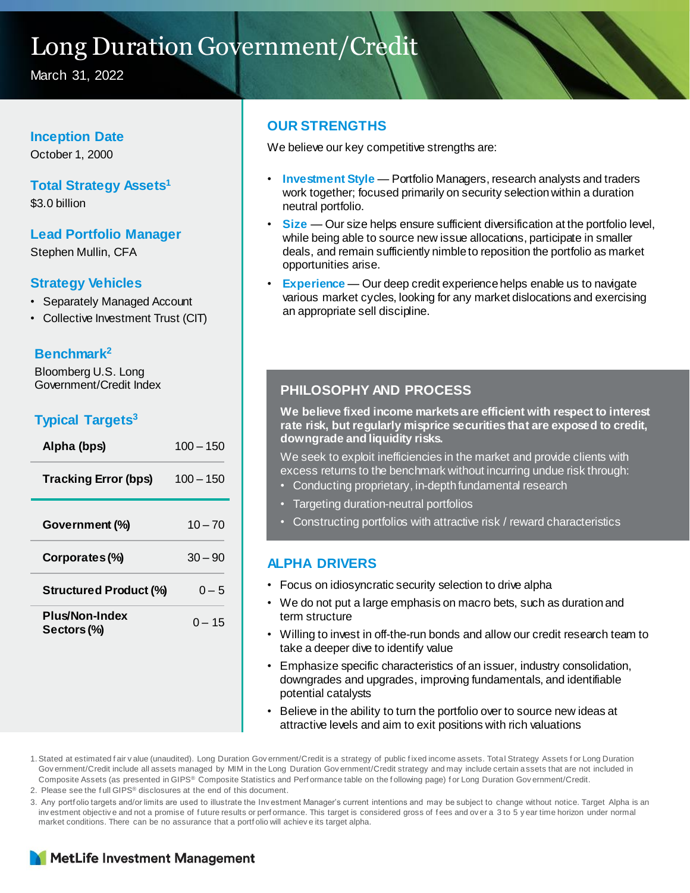## Long Duration Government/Credit

March 31, 2022

#### **Inception Date**

October 1, 2000

#### **Total Strategy Assets<sup>1</sup>**

\$3.0 billion

**Lead Portfolio Manager** Stephen Mullin, CFA

#### **Strategy Vehicles**

- Separately Managed Account
- Collective Investment Trust (CIT)

#### **Benchmark<sup>2</sup>**

Bloomberg U.S. Long Government/Credit Index

### **Typical Targets<sup>3</sup>**

| $100 - 150$ |
|-------------|
| $100 - 150$ |
| $10 - 70$   |
| $30 - 90$   |
| $0 - 5$     |
| $0 - 15$    |
|             |

#### **OUR STRENGTHS**

We believe our key competitive strengths are:

- **Investment Style**  Portfolio Managers, research analysts and traders work together; focused primarily on security selection within a duration neutral portfolio.
- **Size** Our size helps ensure sufficient diversification at the portfolio level, while being able to source new issue allocations, participate in smaller deals, and remain sufficiently nimble to reposition the portfolio as market opportunities arise.
- **Experience** Our deep credit experience helps enable us to navigate various market cycles, looking for any market dislocations and exercising an appropriate sell discipline.

### **PHILOSOPHY AND PROCESS**

**We believe fixed income markets are efficient with respect to interest rate risk, but regularly misprice securities that are exposed to credit, downgrade and liquidity risks.** 

We seek to exploit inefficiencies in the market and provide clients with excess returns to the benchmark without incurring undue risk through:

- Conducting proprietary, in-depth fundamental research
- Targeting duration-neutral portfolios
- Constructing portfolios with attractive risk / reward characteristics

#### **ALPHA DRIVERS**

- Focus on idiosyncratic security selection to drive alpha
- We do not put a large emphasis on macro bets, such as duration and term structure
- Willing to invest in off-the-run bonds and allow our credit research team to take a deeper dive to identify value
- Emphasize specific characteristics of an issuer, industry consolidation, downgrades and upgrades, improving fundamentals, and identifiable potential catalysts
- Believe in the ability to turn the portfolio over to source new ideas at attractive levels and aim to exit positions with rich valuations

1.Stated at estimated f air v alue (unaudited). Long Duration Gov ernment/Credit is a strategy of public f ixed income assets. Total Strategy Assets f or Long Duration Gov ernment/Credit include all assets managed by MIM in the Long Duration Gov ernment/Credit strategy and may include certain assets that are not included in Composite Assets (as presented in GIPS® Composite Statistics and Perf ormance table on the following page) for Long Duration Gov ernment/Credit.

2. Please see the f ull GIPS® disclosures at the end of this document.

3. Any portf olio targets and/or limits are used to illustrate the Inv estment Manager's current intentions and may be subject to change without notice. Target Alpha is an inv estment objective and not a promise of future results or performance. This target is considered gross of fees and over a 3 to 5 y ear time horizon under normal market conditions. There can be no assurance that a portf olio will achiev e its target alpha.

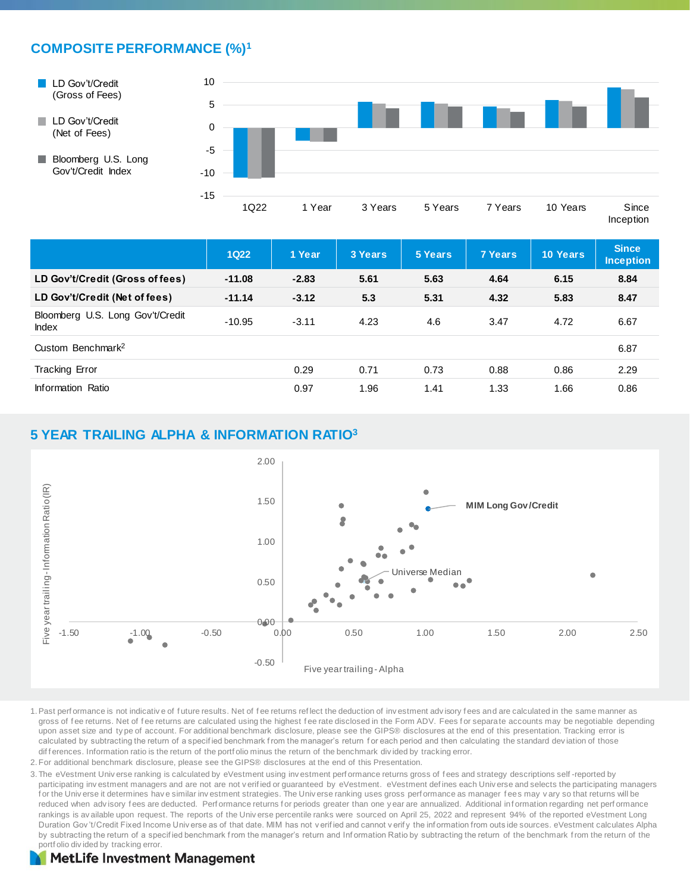### **COMPOSITE PERFORMANCE (%)<sup>1</sup>**



- LD Gov't/Credit (Net of Fees)
- Bloomberg U.S. Long Gov't/Credit Index



Inception

|                                                  | <b>1Q22</b> | 1 Year  | 3 Years | 5 Years | <b>7 Years</b> | <b>10 Years</b> | <b>Since</b><br><b>Inception</b> |
|--------------------------------------------------|-------------|---------|---------|---------|----------------|-----------------|----------------------------------|
| LD Gov't/Credit (Gross of fees)                  | $-11.08$    | $-2.83$ | 5.61    | 5.63    | 4.64           | 6.15            | 8.84                             |
| LD Gov't/Credit (Net of fees)                    | $-11.14$    | $-3.12$ | 5.3     | 5.31    | 4.32           | 5.83            | 8.47                             |
| Bloomberg U.S. Long Gov't/Credit<br><b>Index</b> | $-10.95$    | $-3.11$ | 4.23    | 4.6     | 3.47           | 4.72            | 6.67                             |
| Custom Benchmark <sup>2</sup>                    |             |         |         |         |                |                 | 6.87                             |
| <b>Tracking Error</b>                            |             | 0.29    | 0.71    | 0.73    | 0.88           | 0.86            | 2.29                             |
| Information Ratio                                |             | 0.97    | 1.96    | 1.41    | 1.33           | 1.66            | 0.86                             |

#### **5 YEAR TRAILING ALPHA & INFORMATION RATIO<sup>3</sup>**



- 1.Past perf ormance is not indicativ e of f uture results. Net of f ee returns ref lect the deduction of inv estment adv isory f ees and are calculated in the same manner as gross of fee returns. Net of fee returns are calculated using the highest fee rate disclosed in the Form ADV. Fees for separate accounts may be negotiable depending upon asset size and ty pe of account. For additional benchmark disclosure, please see the GIPS® disclosures at the end of this presentation. Tracking error is calculated by subtracting the return of a specified benchmark from the manager's return for each period and then calculating the standard deviation of those dif f erences. Information ratio is the return of the portf olio minus the return of the benchmark div ided by tracking error.
- 2. For additional benchmark disclosure, please see the GIPS® disclosures at the end of this Presentation.
- 3. The eVestment Univ erse ranking is calculated by eVestment using investment perf ormance returns gross of fees and strategy descriptions self-reported by participating inv estment managers and are not are not v erified or guaranteed by eVestment. eVestment defines each Univ erse and selects the participating managers for the Univ erse it determines have similar investment strategies. The Universe ranking uses gross performance as manager fees may vary so that returns will be reduced when advisory fees are deducted. Performance returns for periods greater than one y ear are annualized. Additional information regarding net performance rankings is av ailable upon request. The reports of the Universe percentile ranks were sourced on April 25, 2022 and represent 94% of the reported eVestment Long Duration Gov 't/Credit Fixed Income Universe as of that date. MIM has not v erified and cannot v erify the information from outs ide sources. eVestment calculates Alpha by subtracting the return of a specified benchmark from the manager's return and Information Ratio by subtracting the return of the benchmark from the return of the portf olio div ided by tracking error.

#### **MetLife Investment Management**

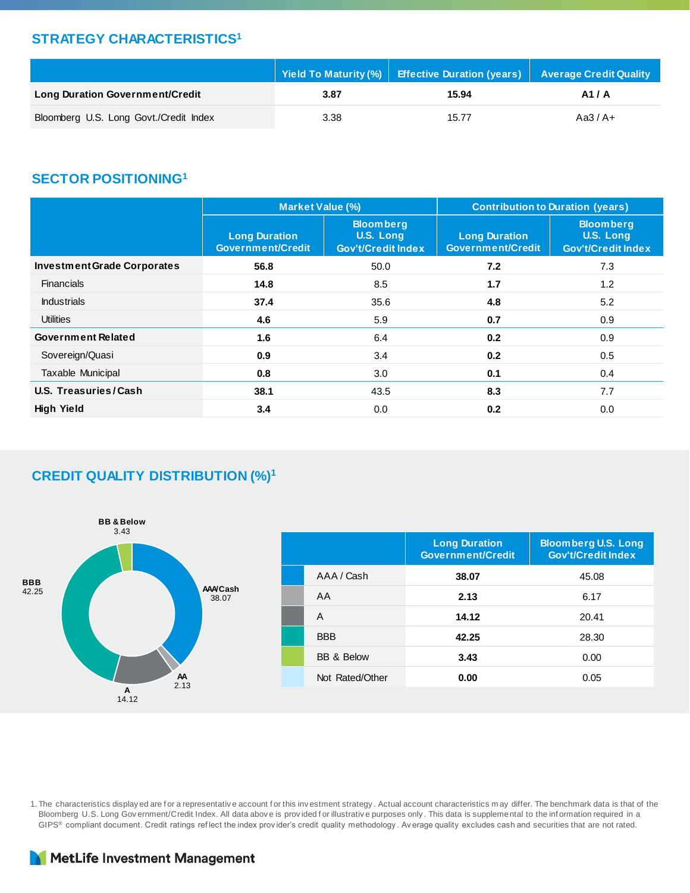#### **STRATEGY CHARACTERISTICS<sup>1</sup>**

|                                        | │ Yield To Maturity (%) │ Effective Duration (years) │ Average Credit Quality , |       |           |  |
|----------------------------------------|---------------------------------------------------------------------------------|-------|-----------|--|
| <b>Long Duration Government/Credit</b> | 3.87                                                                            | 15.94 | A1/A      |  |
| Bloomberg U.S. Long Govt./Credit Index | 3.38                                                                            | 15.77 | Aa3 $/A+$ |  |

### **SECTOR POSITIONING<sup>1</sup>**

|                                    | <b>Market Value (%)</b>                          |                                                            | <b>Contribution to Duration (years)</b>          |                                                            |  |  |
|------------------------------------|--------------------------------------------------|------------------------------------------------------------|--------------------------------------------------|------------------------------------------------------------|--|--|
|                                    | <b>Long Duration</b><br><b>Government/Credit</b> | <b>Bloomberg</b><br>U.S. Long<br><b>Gov't/Credit Index</b> | <b>Long Duration</b><br><b>Government/Credit</b> | <b>Bloomberg</b><br>U.S. Long<br><b>Gov't/Credit Index</b> |  |  |
| <b>Investment Grade Corporates</b> | 56.8                                             | 50.0                                                       | 7.2                                              | 7.3                                                        |  |  |
| <b>Financials</b>                  | 14.8                                             | 8.5                                                        | 1.7                                              | 1.2                                                        |  |  |
| <b>Industrials</b>                 | 37.4                                             | 35.6                                                       | 4.8                                              | 5.2                                                        |  |  |
| <b>Utilities</b>                   | 4.6                                              | 5.9                                                        | 0.7                                              | 0.9                                                        |  |  |
| <b>Government Related</b>          | 1.6                                              | 6.4                                                        | 0.2                                              | 0.9                                                        |  |  |
| Sovereign/Quasi                    | 0.9                                              | 3.4                                                        | 0.2                                              | 0.5                                                        |  |  |
| Taxable Municipal                  | 0.8                                              | 3.0                                                        | 0.1                                              | 0.4                                                        |  |  |
| U.S. Treasuries/Cash               | 38.1                                             | 43.5                                                       | 8.3                                              | 7.7                                                        |  |  |
| <b>High Yield</b>                  | 3.4                                              | 0.0                                                        | 0.2                                              | 0.0                                                        |  |  |

#### **CREDIT QUALITY DISTRIBUTION (%)<sup>1</sup>**



1. The characteristics display ed are f or a representativ e account f or this inv estment strategy . Actual account characteristics m ay differ. The benchmark data is that of the Bloomberg U.S. Long Gov ernment/Credit Index. All data abov e is provided for illustrative purposes only . This data is supplemental to the information required in a GIPS® compliant document. Credit ratings ref lect the index prov ider's credit quality methodology . Av erage quality excludes cash and securities that are not rated.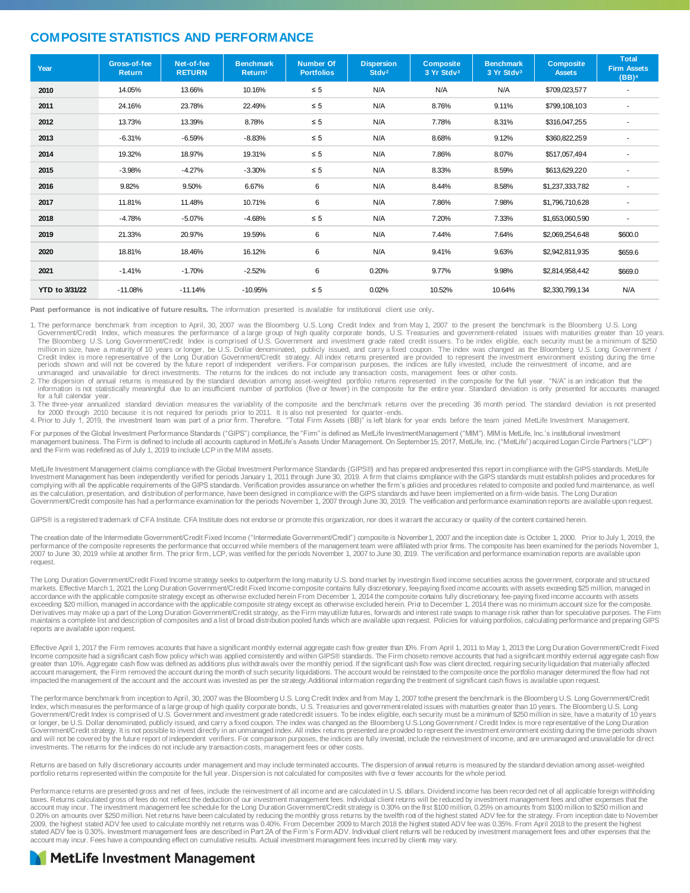#### **COMPOSITE STATISTICS AND PERFORMANCE**

| Year           | Gross-of-fee<br>Return | Net-of-fee<br><b>RETURN</b> | <b>Benchmark</b><br>Return <sup>1</sup> | <b>Number Of</b><br><b>Portfolios</b> | <b>Dispersion</b><br>Stdv <sup>2</sup> | <b>Composite</b><br>3 Yr Stdv3 | <b>Benchmark</b><br>3 Yr Stdv3 | <b>Composite</b><br><b>Assets</b> | <b>Total</b><br><b>Firm Assets</b><br>(BB) <sup>4</sup> |
|----------------|------------------------|-----------------------------|-----------------------------------------|---------------------------------------|----------------------------------------|--------------------------------|--------------------------------|-----------------------------------|---------------------------------------------------------|
| 2010           | 14.05%                 | 13.66%                      | 10.16%                                  | $\leq 5$                              | N/A                                    | N/A                            | N/A                            | \$709,023,577                     |                                                         |
| 2011           | 24.16%                 | 23.78%                      | 22.49%                                  | $\leq 5$                              | N/A                                    | 8.76%                          | 9.11%                          | \$799,108,103                     |                                                         |
| 2012           | 13.73%                 | 13.39%                      | 8.78%                                   | $\leq 5$                              | N/A                                    | 7.78%                          | 8.31%                          | \$316,047,255                     | ٠                                                       |
| 2013           | $-6.31%$               | $-6.59%$                    | $-8.83%$                                | $\leq 5$                              | N/A                                    | 8.68%                          | 9.12%                          | \$360,822,259                     |                                                         |
| 2014           | 19.32%                 | 18.97%                      | 19.31%                                  | $\leq 5$                              | N/A                                    | 7.86%                          | 8.07%                          | \$517,057,494                     |                                                         |
| 2015           | $-3.98%$               | $-4.27%$                    | $-3.30%$                                | $\leq 5$                              | N/A                                    | 8.33%                          | 8.59%                          | \$613,629,220                     |                                                         |
| 2016           | 9.82%                  | 9.50%                       | 6.67%                                   | 6                                     | N/A                                    | 8.44%                          | 8.58%                          | \$1,237,333,782                   |                                                         |
| 2017           | 11.81%                 | 11.48%                      | 10.71%                                  | 6                                     | N/A                                    | 7.86%                          | 7.98%                          | \$1,796,710,628                   | $\overline{\phantom{a}}$                                |
| 2018           | $-4.78%$               | $-5.07%$                    | $-4.68%$                                | $\leq 5$                              | N/A                                    | 7.20%                          | 7.33%                          | \$1,653,060,590                   | ٠                                                       |
| 2019           | 21.33%                 | 20.97%                      | 19.59%                                  | 6                                     | N/A                                    | 7.44%                          | 7.64%                          | \$2,069,254,648                   | \$600.0                                                 |
| 2020           | 18.81%                 | 18.46%                      | 16.12%                                  | 6                                     | N/A                                    | 9.41%                          | 9.63%                          | \$2,942,811,935                   | \$659.6                                                 |
| 2021           | $-1.41%$               | $-1.70%$                    | $-2.52%$                                | 6                                     | 0.20%                                  | 9.77%                          | 9.98%                          | \$2,814,958,442                   | \$669.0                                                 |
| YTD to 3/31/22 | $-11.08%$              | $-11.14%$                   | $-10.95%$                               | $\leq 5$                              | 0.02%                                  | 10.52%                         | 10.64%                         | \$2,330,799,134                   | N/A                                                     |

**Past performance is not indicative of future results.** The information presented is available for institutional client use only**.** 

1. The performance benchmark from inception to April, 30, 2007 was the Bloomberg U.S. Long Credit Index and from May 1, 2007 to the present the benchmark is the Bloomberg U.S. Long Government/Credit Index, which measures the performance of alarge group of high quality corporate bonds, U.S. Treasuries and government-related issues with maturities greater than 10 years.<br>The Bloomberg U.S. Long Governme Credit Index is more representative of the Long Duration Government/Credit strategy. All index returns presented are provided to represent the investment environment existing during the time<br>periods shown and will not be c

information is not statistically meaningful due to an insufficient number of portfolios (five or fewer) in the composite for the entire year. Standard deviation is only presented for accounts managed for a full calendar year.

3. The three-year annualized standard deviation measures the variability of the composite and the benchmark returns over the preceding 36 month period. The standard deviation is not presented

for 2000 through 2010 because it is not required for periods prior to 2011. It is also not presented for quarter-ends.<br>4. Prior to July 1, 2019, the investment team was part of a prior firm. Therefore. "Total Firm Assets (

For purposes of the Global Investment Performance Standards ("GIPS") compliance, the "Firm" is defined as MetLife Investment Management ("MIM"). MIM is MetLife, Inc.'s institutional investment management business. The Firm is defined to include all accounts captured in MetLife's Assets Under Management. On September 15, 2017, MetLife, Inc. ("MetLife") acquired Logan Circle Partners ("LCP")<br>and the Firm was redef

MetLife Investment Management claims compliance with the Global Investment Performance Standards (GIPS®) and has prepared andpresented this report in compliance with the GIPS standards. MetLife<br>Investment Management has be complying with all the applicable requirements of the GIPS standards. Verification provides assurance on whether the firm's policies and procedures related to composite and pooled fund maintenance, as well as the calculation, presentation, and distribution of performance, have been designed in compliance with the GIPS standards and have been implemented on a firm-wide basis. The Long Duration Government/Credit composite has had a performance examination for the periods November 1, 2007 through June 30, 2019. The verification and performance examination reports are available upon request.

GIPS® is a registered trademark of CFA Institute. CFA Institute does not endorse or promote this organization, nor does it warrant the accuracy or quality of the content contained herein.

The creation date of the Intermediate Government/Credit Fixed Income ("Intermediate Government/Credit") composite is November1, 2007 and the inception date is October 1, 2000. Prior to July 1, 2019, the<br>performance of the 2007 to June 30, 2019 while at another firm. The prior firm, LCP, was verified for the periods November 1, 2007 to June 30, 2019. The verification and performance examination reports are available upon request.

The Long Duration Government/Credit Fixed Income strategy seeks to outperform the long maturity U.S. bond market by investingin fixed income securities across the government, corporate and structured markets. Effective March 1, 2021 the Long Duration Government/Credit Fixed Income composite contains fully discretionary, fee paying fixed income accounts with assets exceeding \$25 million, managed in<br>accordance with the a Derivatives may make up a part of the Long Duration Government/Credit strategy, as the Firm mayutilize futures, forwards and interest rate swaps to manage risk rather than for speculative purposes. The Firm maintains a complete list and description of composites and a list of broad distribution pooled funds which are available upon request. Policies for valuing portfolios, calculating performance and preparing GIPS reports are available upon request.

Effective April 1, 2017 the Firm removes accounts that have a significant monthly external aggregate cash flow greater than 10%. From April 1, 2011 to May 1, 2013 the Long Duration Government/Credit Fixed<br>Income composite account management, the Firm removed the account during the month of such security liquidations. The account would be reinstated to the composite once the portfolio manager determined the flow had not impacted the management of the account and the account was invested as per the strategy.Additional information regarding the treatment of significant cash flows is available upon request.

The performance benchmark from inception to April, 30, 2007 was the Bloomberg U.S. Long Credit Index and from May 1, 2007 tothe present the benchmark is the Bloomberg U.S. Long Government/Credit<br>Index, which measures the p Government/Credit Index is comprised of U.S. Government and investment grade ratedcredit issuers. To be index eligible, each security must be a minimum of \$250 million in size, have a maturity of 10 years or longer, be U.S. Dollar denominated, publicly issued, and carry a fixed coupon. The index was changed as the Bloomberg U.S.Long Government / Credit Index is more representative of the Long Duration Government/Credit strategy. It is not possible to invest directly in an unmanaged index. All index returns presented are provided to represent the investment environment existing during the time periods shown and will not be covered by the future report of independent verifiers. For comparison purposes, the indices are fully invested, include the reinvestment of income, and are unmanaged and unavailable for direct investments. The returns for the indices do not include any transaction costs, management fees or other costs.

Returns are based on fully discretionary accounts under management and may include terminated accounts. The dispersion of annual returns is measured by the standard deviation among asset-weighted portfolio returns represented within the composite for the full year. Dispersion is not calculated for composites with five or fewer accounts for the whole period.

Performance returns are presented gross and net of fees, include the reinvestment of all income and are calculated in U.S. dollars. Dividend income has been recorded net of all applicable foreign withholding taxes. Returns calculated gross of fees do not reflect the deduction of our investment management fees. Individual client returns will be reduced by investment management fees and other expenses that the<br>account may incur. 0.20% on amounts over \$250 million. Net returns have been calculated by reducing the monthly gross returns by the twelfth rod of the highest stated ADV fee for the strategy. From inception date to November<br>2009, the highes stated ADV fee is 0.30%. Investment management fees are described in Part 2A of the Firm's Form ADV. Individual client returns will be reduced by investment management fees and other expenses that the account may incur. Fees have a compounding effect on cumulative results. Actual investment management fees incurred by clients may vary.

#### **MetLife Investment Management**